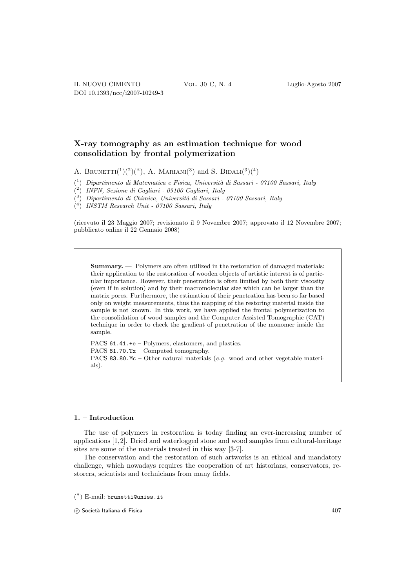# **X-ray tomography as an estimation technique for wood consolidation by frontal polymerization**

A. BRUNETTI $({}^{1})({}^{2})({}^{*})$ , A. MARIANI $({}^{3})$  and S. BIDALI $({}^{3})({}^{4})$ 

 $(1)$  Dipartimento di Matematica e Fisica, Università di Sassari - 07100 Sassari, Italy

( <sup>2</sup>) INFN, Sezione di Cagliari - 09100 Cagliari, Italy

 $(3)$  Dipartimento di Chimica, Università di Sassari - 07100 Sassari, Italy

( <sup>4</sup>) INSTM Research Unit - 07100 Sassari, Italy

(ricevuto il 23 Maggio 2007; revisionato il 9 Novembre 2007; approvato il 12 Novembre 2007; pubblicato online il 22 Gennaio 2008)

**Summary.** — Polymers are often utilized in the restoration of damaged materials: their application to the restoration of wooden objects of artistic interest is of particular importance. However, their penetration is often limited by both their viscosity (even if in solution) and by their macromolecular size which can be larger than the matrix pores. Furthermore, the estimation of their penetration has been so far based only on weight measurements, thus the mapping of the restoring material inside the sample is not known. In this work, we have applied the frontal polymerization to the consolidation of wood samples and the Computer-Assisted Tomographic (CAT) technique in order to check the gradient of penetration of the monomer inside the sample.

PACS 61.41.+e – Polymers, elastomers, and plastics. PACS 81.70.Tx – Computed tomography. PACS 83.80.Mc – Other natural materials  $(e.g.$  wood and other vegetable materials).

# **1. – Introduction**

The use of polymers in restoration is today finding an ever-increasing number of applications [1,2]. Dried and waterlogged stone and wood samples from cultural-heritage sites are some of the materials treated in this way [3-7].

The conservation and the restoration of such artworks is an ethical and mandatory challenge, which nowadays requires the cooperation of art historians, conservators, restorers, scientists and technicians from many fields.

<sup>(</sup> ∗) E-mail: brunetti@uniss.it

 $\odot$  Società Italiana di Fisica  $407$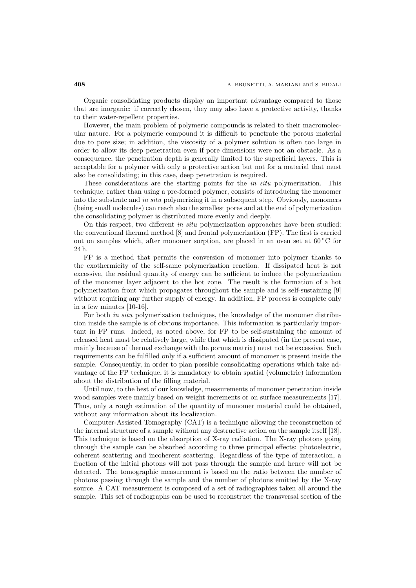Organic consolidating products display an important advantage compared to those that are inorganic: if correctly chosen, they may also have a protective activity, thanks to their water-repellent properties.

However, the main problem of polymeric compounds is related to their macromolecular nature. For a polymeric compound it is difficult to penetrate the porous material due to pore size; in addition, the viscosity of a polymer solution is often too large in order to allow its deep penetration even if pore dimensions were not an obstacle. As a consequence, the penetration depth is generally limited to the superficial layers. This is acceptable for a polymer with only a protective action but not for a material that must also be consolidating; in this case, deep penetration is required.

These considerations are the starting points for the *in situ* polymerization. This technique, rather than using a pre-formed polymer, consists of introducing the monomer into the substrate and in situ polymerizing it in a subsequent step. Obviously, monomers (being small molecules) can reach also the smallest pores and at the end of polymerization the consolidating polymer is distributed more evenly and deeply.

On this respect, two different in situ polymerization approaches have been studied: the conventional thermal method [8] and frontal polymerization (FP). The first is carried out on samples which, after monomer sorption, are placed in an oven set at  $60\,^{\circ}\mathrm{C}$  for 24 h.

FP is a method that permits the conversion of monomer into polymer thanks to the exothermicity of the self-same polymerization reaction. If dissipated heat is not excessive, the residual quantity of energy can be sufficient to induce the polymerization of the monomer layer adjacent to the hot zone. The result is the formation of a hot polymerization front which propagates throughout the sample and is self-sustaining [9] without requiring any further supply of energy. In addition, FP process is complete only in a few minutes [10-16].

For both in situ polymerization techniques, the knowledge of the monomer distribution inside the sample is of obvious importance. This information is particularly important in FP runs. Indeed, as noted above, for FP to be self-sustaining the amount of released heat must be relatively large, while that which is dissipated (in the present case, mainly because of thermal exchange with the porous matrix) must not be excessive. Such requirements can be fulfilled only if a sufficient amount of monomer is present inside the sample. Consequently, in order to plan possible consolidating operations which take advantage of the FP technique, it is mandatory to obtain spatial (volumetric) information about the distribution of the filling material.

Until now, to the best of our knowledge, measurements of monomer penetration inside wood samples were mainly based on weight increments or on surface measurements [17]. Thus, only a rough estimation of the quantity of monomer material could be obtained, without any information about its localization.

Computer-Assisted Tomography (CAT) is a technique allowing the reconstruction of the internal structure of a sample without any destructive action on the sample itself [18]. This technique is based on the absorption of X-ray radiation. The X-ray photons going through the sample can be absorbed according to three principal effects: photoelectric, coherent scattering and incoherent scattering. Regardless of the type of interaction, a fraction of the initial photons will not pass through the sample and hence will not be detected. The tomographic measurement is based on the ratio between the number of photons passing through the sample and the number of photons emitted by the X-ray source. A CAT measurement is composed of a set of radiographies taken all around the sample. This set of radiographs can be used to reconstruct the transversal section of the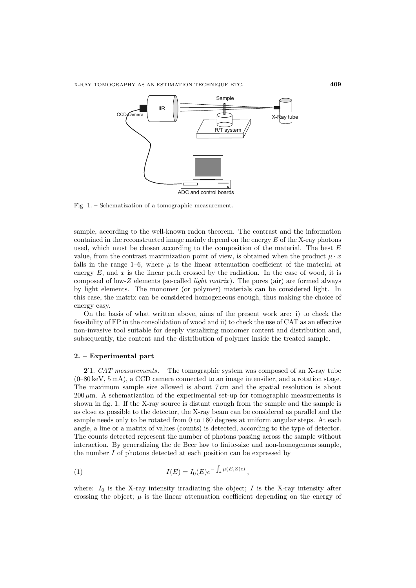

Fig. 1. – Schematization of a tomographic measurement.

sample, according to the well-known radon theorem. The contrast and the information contained in the reconstructed image mainly depend on the energy  $E$  of the X-ray photons used, which must be chosen according to the composition of the material. The best  $E$ value, from the contrast maximization point of view, is obtained when the product  $\mu \cdot x$ falls in the range 1–6, where  $\mu$  is the linear attenuation coefficient of the material at energy  $E$ , and  $x$  is the linear path crossed by the radiation. In the case of wood, it is composed of low-Z elements (so-called *light matrix*). The pores (air) are formed always by light elements. The monomer (or polymer) materials can be considered light. In this case, the matrix can be considered homogeneous enough, thus making the choice of energy easy.

On the basis of what written above, aims of the present work are: i) to check the feasibility of FP in the consolidation of wood and ii) to check the use of CAT as an effective non-invasive tool suitable for deeply visualizing monomer content and distribution and, subsequently, the content and the distribution of polymer inside the treated sample.

#### **2. – Experimental part**

**2**. 1. CAT measurements. – The tomographic system was composed of an X-ray tube (0–80 keV, 5 mA), a CCD camera connected to an image intensifier, and a rotation stage. The maximum sample size allowed is about 7 cm and the spatial resolution is about  $200 \mu m$ . A schematization of the experimental set-up for tomographic measurements is shown in fig. 1. If the X-ray source is distant enough from the sample and the sample is as close as possible to the detector, the X-ray beam can be considered as parallel and the sample needs only to be rotated from 0 to 180 degrees at uniform angular steps. At each angle, a line or a matrix of values (counts) is detected, according to the type of detector. The counts detected represent the number of photons passing across the sample without interaction. By generalizing the de Beer law to finite-size and non-homogenous sample, the number I of photons detected at each position can be expressed by

(1) 
$$
I(E) = I_0(E)e^{-\int_d \mu(E, Z)dl},
$$

where:  $I_0$  is the X-ray intensity irradiating the object;  $I$  is the X-ray intensity after crossing the object;  $\mu$  is the linear attenuation coefficient depending on the energy of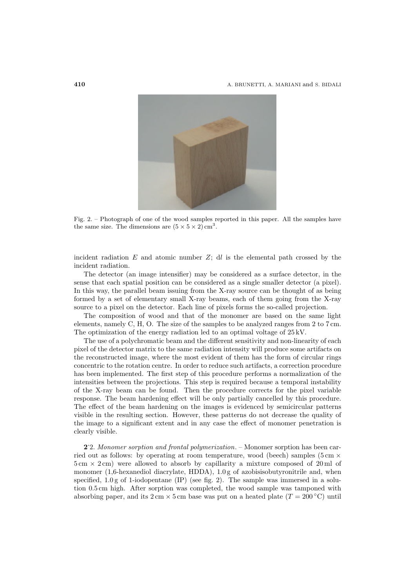

Fig. 2. – Photograph of one of the wood samples reported in this paper. All the samples have the same size. The dimensions are  $(5 \times 5 \times 2)$  cm<sup>3</sup>.

incident radiation  $E$  and atomic number  $Z$ ; dl is the elemental path crossed by the incident radiation.

The detector (an image intensifier) may be considered as a surface detector, in the sense that each spatial position can be considered as a single smaller detector (a pixel). In this way, the parallel beam issuing from the X-ray source can be thought of as being formed by a set of elementary small X-ray beams, each of them going from the X-ray source to a pixel on the detector. Each line of pixels forms the so-called projection.

The composition of wood and that of the monomer are based on the same light elements, namely C, H, O. The size of the samples to be analyzed ranges from 2 to 7 cm. The optimization of the energy radiation led to an optimal voltage of 25 kV.

The use of a polychromatic beam and the different sensitivity and non-linearity of each pixel of the detector matrix to the same radiation intensity will produce some artifacts on the reconstructed image, where the most evident of them has the form of circular rings concentric to the rotation centre. In order to reduce such artifacts, a correction procedure has been implemented. The first step of this procedure performs a normalization of the intensities between the projections. This step is required because a temporal instability of the X-ray beam can be found. Then the procedure corrects for the pixel variable response. The beam hardening effect will be only partially cancelled by this procedure. The effect of the beam hardening on the images is evidenced by semicircular patterns visible in the resulting section. However, these patterns do not decrease the quality of the image to a significant extent and in any case the effect of monomer penetration is clearly visible.

**2**. 2. Monomer sorption and frontal polymerization. – Monomer sorption has been carried out as follows: by operating at room temperature, wood (beech) samples ( $5 \text{ cm} \times$  $5 \text{ cm} \times 2 \text{ cm}$ ) were allowed to absorb by capillarity a mixture composed of 20 ml of monomer  $(1,6$ -hexanediol diacrylate, HDDA),  $1.0$  g of azobisisobutyronitrile and, when specified,  $1.0 g$  of 1-iodopentane (IP) (see fig. 2). The sample was immersed in a solution 0.5 cm high. After sorption was completed, the wood sample was tamponed with absorbing paper, and its  $2 \text{ cm} \times 5 \text{ cm}$  base was put on a heated plate  $(T = 200 \degree \text{C})$  until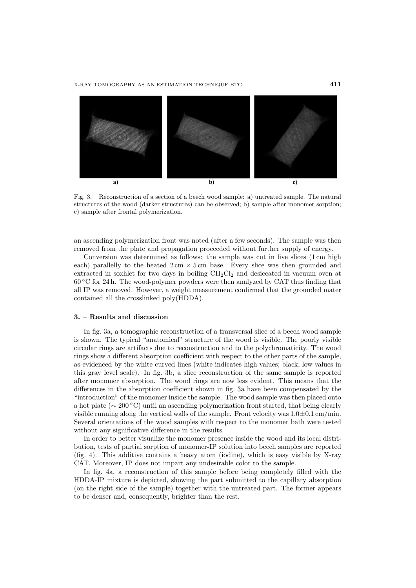

Fig. 3. – Reconstruction of a section of a beech wood sample: a) untreated sample. The natural structures of the wood (darker structures) can be observed; b) sample after monomer sorption; c) sample after frontal polymerization.

an ascending polymerization front was noted (after a few seconds). The sample was then removed from the plate and propagation proceeded without further supply of energy.

Conversion was determined as follows: the sample was cut in five slices (1 cm high each) parallelly to the heated  $2 \text{ cm} \times 5 \text{ cm}$  base. Every slice was then grounded and extracted in soxhlet for two days in boiling  $CH_2Cl_2$  and desiccated in vacuum oven at  $60\degree$ C for 24 h. The wood-polymer powders were then analyzed by CAT thus finding that all IP was removed. However, a weight measurement confirmed that the grounded mater contained all the crosslinked poly(HDDA).

## **3. – Results and discussion**

In fig. 3a, a tomographic reconstruction of a transversal slice of a beech wood sample is shown. The typical "anatomical" structure of the wood is visible. The poorly visible circular rings are artifacts due to reconstruction and to the polychromaticity. The wood rings show a different absorption coefficient with respect to the other parts of the sample, as evidenced by the white curved lines (white indicates high values; black, low values in this gray level scale). In fig. 3b, a slice reconstruction of the same sample is reported after monomer absorption. The wood rings are now less evident. This means that the differences in the absorption coefficient shown in fig. 3a have been compensated by the "introduction" of the monomer inside the sample. The wood sample was then placed onto a hot plate (∼ 200 ◦C) until an ascending polymerization front started, that being clearly visible running along the vertical walls of the sample. Front velocity was  $1.0\pm0.1$  cm/min. Several orientations of the wood samples with respect to the monomer bath were tested without any significative difference in the results.

In order to better visualize the monomer presence inside the wood and its local distribution, tests of partial sorption of monomer-IP solution into beech samples are reported (fig. 4). This additive contains a heavy atom (iodine), which is easy visible by X-ray CAT. Moreover, IP does not impart any undesirable color to the sample.

In fig. 4a, a reconstruction of this sample before being completely filled with the HDDA-IP mixture is depicted, showing the part submitted to the capillary absorption (on the right side of the sample) together with the untreated part. The former appears to be denser and, consequently, brighter than the rest.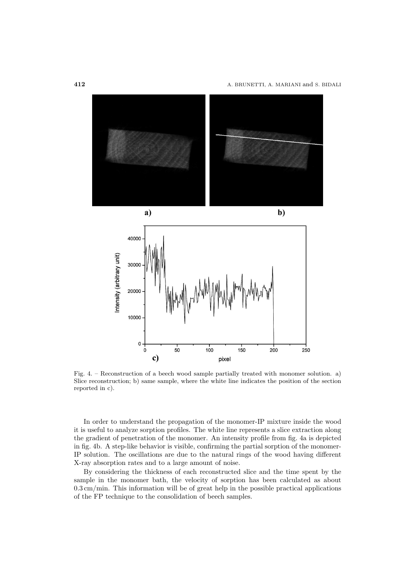

Fig. 4. – Reconstruction of a beech wood sample partially treated with monomer solution. a) Slice reconstruction; b) same sample, where the white line indicates the position of the section reported in c).

In order to understand the propagation of the monomer-IP mixture inside the wood it is useful to analyze sorption profiles. The white line represents a slice extraction along the gradient of penetration of the monomer. An intensity profile from fig. 4a is depicted in fig. 4b. A step-like behavior is visible, confirming the partial sorption of the monomer-IP solution. The oscillations are due to the natural rings of the wood having different X-ray absorption rates and to a large amount of noise.

By considering the thickness of each reconstructed slice and the time spent by the sample in the monomer bath, the velocity of sorption has been calculated as about  $0.3\,\mathrm{cm/min}.$  This information will be of great help in the possible practical applications of the FP technique to the consolidation of beech samples.